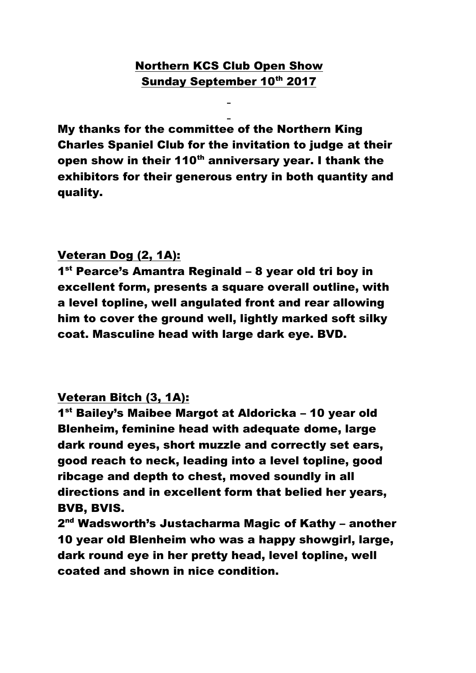# Northern KCS Club Open Show Sunday September 10th 2017

My thanks for the committee of the Northern King Charles Spaniel Club for the invitation to judge at their open show in their 110<sup>th</sup> anniversary year. I thank the exhibitors for their generous entry in both quantity and quality.

#### Veteran Dog (2, 1A):

1<sup>st</sup> Pearce's Amantra Reginald – 8 year old tri boy in excellent form, presents a square overall outline, with a level topline, well angulated front and rear allowing him to cover the ground well, lightly marked soft silky coat. Masculine head with large dark eye. BVD.

## Veteran Bitch (3, 1A):

1<sup>st</sup> Bailey's Maibee Margot at Aldoricka - 10 year old Blenheim, feminine head with adequate dome, large dark round eyes, short muzzle and correctly set ears, good reach to neck, leading into a level topline, good ribcage and depth to chest, moved soundly in all directions and in excellent form that belied her years, BVB, BVIS.

2<sup>nd</sup> Wadsworth's Justacharma Magic of Kathy – another 10 year old Blenheim who was a happy showgirl, large, dark round eye in her pretty head, level topline, well coated and shown in nice condition.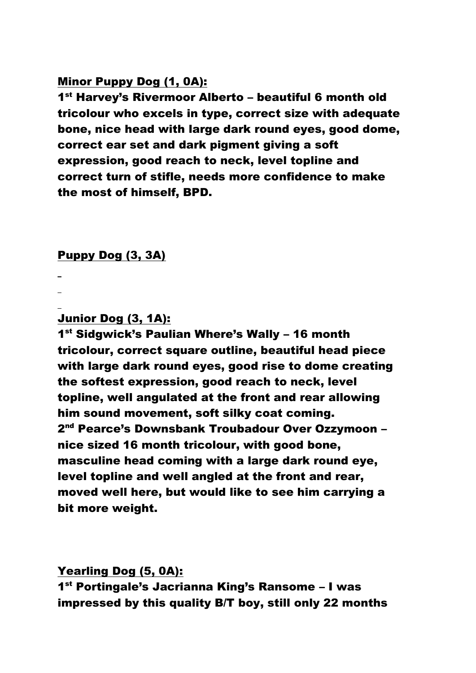#### Minor Puppy Dog (1, 0A):

1<sup>st</sup> Harvey's Rivermoor Alberto – beautiful 6 month old tricolour who excels in type, correct size with adequate bone, nice head with large dark round eyes, good dome, correct ear set and dark pigment giving a soft expression, good reach to neck, level topline and correct turn of stifle, needs more confidence to make the most of himself, BPD.

#### Puppy Dog (3, 3A)

Junior Dog (3, 1A):

1<sup>st</sup> Sidgwick's Paulian Where's Wally - 16 month tricolour, correct square outline, beautiful head piece with large dark round eyes, good rise to dome creating the softest expression, good reach to neck, level topline, well angulated at the front and rear allowing him sound movement, soft silky coat coming. 2<sup>nd</sup> Pearce's Downsbank Troubadour Over Ozzymoon – nice sized 16 month tricolour, with good bone, masculine head coming with a large dark round eye, level topline and well angled at the front and rear, moved well here, but would like to see him carrying a bit more weight.

Yearling Dog (5, 0A):

1 st Portingale's Jacrianna King's Ransome – I was impressed by this quality B/T boy, still only 22 months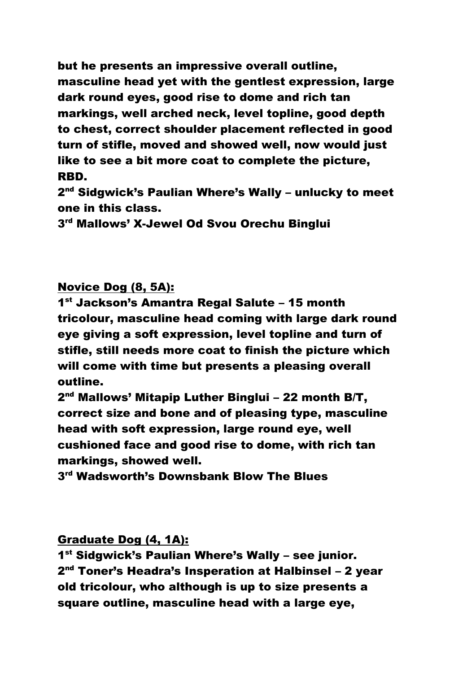but he presents an impressive overall outline, masculine head yet with the gentlest expression, large dark round eyes, good rise to dome and rich tan markings, well arched neck, level topline, good depth to chest, correct shoulder placement reflected in good turn of stifle, moved and showed well, now would just like to see a bit more coat to complete the picture, RBD.

2<sup>nd</sup> Sidgwick's Paulian Where's Wally – unlucky to meet one in this class.

3 rd Mallows' X-Jewel Od Svou Orechu Binglui

Novice Dog (8, 5A):

1 st Jackson's Amantra Regal Salute – 15 month tricolour, masculine head coming with large dark round eye giving a soft expression, level topline and turn of stifle, still needs more coat to finish the picture which will come with time but presents a pleasing overall outline.

2<sup>nd</sup> Mallows' Mitapip Luther Binglui – 22 month B/T, correct size and bone and of pleasing type, masculine head with soft expression, large round eye, well cushioned face and good rise to dome, with rich tan markings, showed well.

3 rd Wadsworth's Downsbank Blow The Blues

Graduate Dog (4, 1A):

1<sup>st</sup> Sidgwick's Paulian Where's Wally - see junior. 2<sup>nd</sup> Toner's Headra's Insperation at Halbinsel – 2 year old tricolour, who although is up to size presents a square outline, masculine head with a large eye,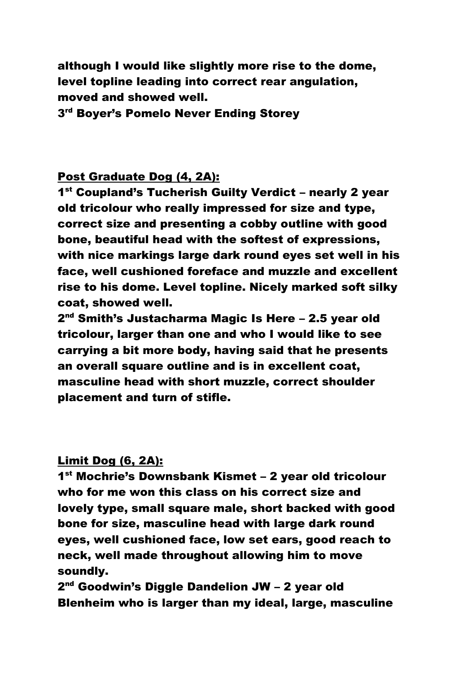although I would like slightly more rise to the dome, level topline leading into correct rear angulation, moved and showed well.

3<sup>rd</sup> Boyer's Pomelo Never Ending Storey

#### Post Graduate Dog (4, 2A):

1<sup>st</sup> Coupland's Tucherish Guilty Verdict - nearly 2 year old tricolour who really impressed for size and type, correct size and presenting a cobby outline with good bone, beautiful head with the softest of expressions, with nice markings large dark round eyes set well in his face, well cushioned foreface and muzzle and excellent rise to his dome. Level topline. Nicely marked soft silky coat, showed well.

2<sup>nd</sup> Smith's Justacharma Magic Is Here – 2.5 year old tricolour, larger than one and who I would like to see carrying a bit more body, having said that he presents an overall square outline and is in excellent coat, masculine head with short muzzle, correct shoulder placement and turn of stifle.

#### Limit Dog (6, 2A):

1 st Mochrie's Downsbank Kismet – 2 year old tricolour who for me won this class on his correct size and lovely type, small square male, short backed with good bone for size, masculine head with large dark round eyes, well cushioned face, low set ears, good reach to neck, well made throughout allowing him to move soundly.

2<sup>nd</sup> Goodwin's Diggle Dandelion JW – 2 year old Blenheim who is larger than my ideal, large, masculine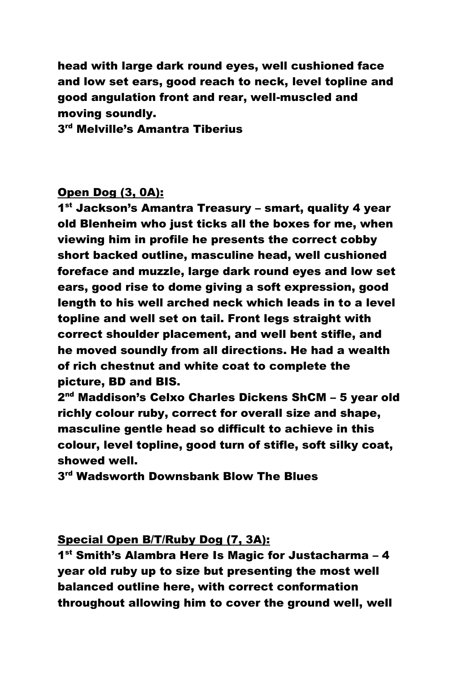head with large dark round eyes, well cushioned face and low set ears, good reach to neck, level topline and good angulation front and rear, well-muscled and moving soundly.

3<sup>rd</sup> Melville's Amantra Tiberius

## Open Dog (3, 0A):

1<sup>st</sup> Jackson's Amantra Treasury – smart, quality 4 year old Blenheim who just ticks all the boxes for me, when viewing him in profile he presents the correct cobby short backed outline, masculine head, well cushioned foreface and muzzle, large dark round eyes and low set ears, good rise to dome giving a soft expression, good length to his well arched neck which leads in to a level topline and well set on tail. Front legs straight with correct shoulder placement, and well bent stifle, and he moved soundly from all directions. He had a wealth of rich chestnut and white coat to complete the picture, BD and BIS.

2<sup>nd</sup> Maddison's Celxo Charles Dickens ShCM – 5 year old richly colour ruby, correct for overall size and shape, masculine gentle head so difficult to achieve in this colour, level topline, good turn of stifle, soft silky coat, showed well.

 $3<sup>rd</sup>$  Wadsworth Downsbank Blow The Blues

## Special Open B/T/Ruby Dog (7, 3A):

1<sup>st</sup> Smith's Alambra Here Is Magic for Justacharma - 4 year old ruby up to size but presenting the most well balanced outline here, with correct conformation throughout allowing him to cover the ground well, well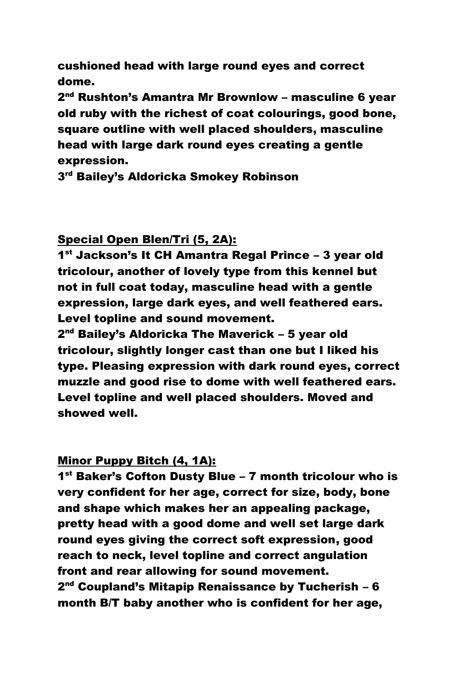cushioned head with large round eyes and correct dome.

2<sup>nd</sup> Rushton's Amantra Mr Brownlow – masculine 6 year old ruby with the richest of coat colourings, good bone, square outline with well placed shoulders, masculine head with large dark round eyes creating a gentle expression.

3 rd Bailey's Aldoricka Smokey Robinson

## Special Open Blen/Tri (5, 2A):

1<sup>st</sup> Jackson's It CH Amantra Regal Prince - 3 year old tricolour, another of lovely type from this kennel but not in full coat today, masculine head with a gentle expression, large dark eyes, and well feathered ears. Level topline and sound movement.

2<sup>nd</sup> Bailey's Aldoricka The Maverick – 5 year old tricolour, slightly longer cast than one but I liked his type. Pleasing expression with dark round eyes, correct muzzle and good rise to dome with well feathered ears. Level topline and well placed shoulders. Moved and showed well.

## Minor Puppy Bitch (4, 1A):

1<sup>st</sup> Baker's Cofton Dusty Blue - 7 month tricolour who is very confident for her age, correct for size, body, bone and shape which makes her an appealing package, pretty head with a good dome and well set large dark round eyes giving the correct soft expression, good reach to neck, level topline and correct angulation front and rear allowing for sound movement. 2<sup>nd</sup> Coupland's Mitapip Renaissance by Tucherish – 6 month B/T baby another who is confident for her age,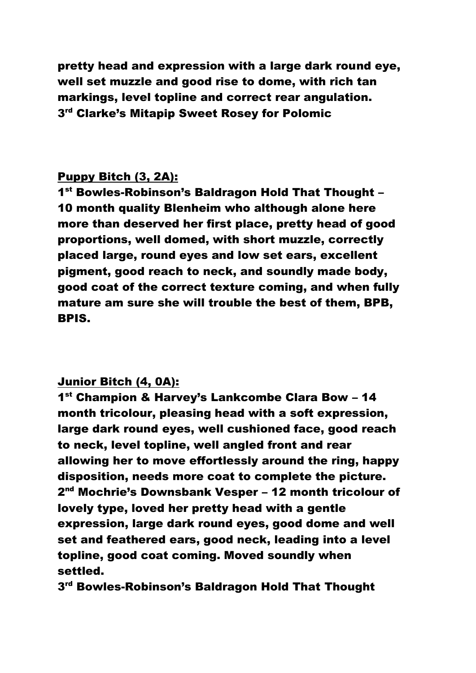pretty head and expression with a large dark round eye, well set muzzle and good rise to dome, with rich tan markings, level topline and correct rear angulation. 3 rd Clarke's Mitapip Sweet Rosey for Polomic

## Puppy Bitch (3, 2A):

1<sup>st</sup> Bowles-Robinson's Baldragon Hold That Thought -10 month quality Blenheim who although alone here more than deserved her first place, pretty head of good proportions, well domed, with short muzzle, correctly placed large, round eyes and low set ears, excellent pigment, good reach to neck, and soundly made body, good coat of the correct texture coming, and when fully mature am sure she will trouble the best of them, BPB, BPIS.

## Junior Bitch (4, 0A):

1 st Champion & Harvey's Lankcombe Clara Bow – 14 month tricolour, pleasing head with a soft expression, large dark round eyes, well cushioned face, good reach to neck, level topline, well angled front and rear allowing her to move effortlessly around the ring, happy disposition, needs more coat to complete the picture. 2<sup>nd</sup> Mochrie's Downsbank Vesper – 12 month tricolour of lovely type, loved her pretty head with a gentle expression, large dark round eyes, good dome and well set and feathered ears, good neck, leading into a level topline, good coat coming. Moved soundly when settled.

3<sup>rd</sup> Bowles-Robinson's Baldragon Hold That Thought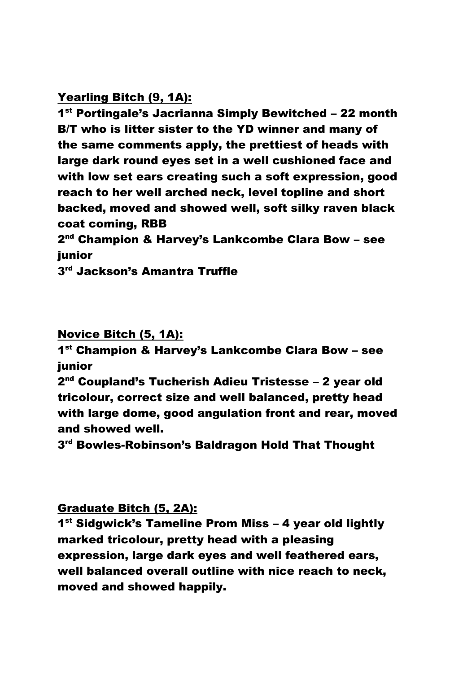## Yearling Bitch (9, 1A):

1<sup>st</sup> Portingale's Jacrianna Simply Bewitched - 22 month B/T who is litter sister to the YD winner and many of the same comments apply, the prettiest of heads with large dark round eyes set in a well cushioned face and with low set ears creating such a soft expression, good reach to her well arched neck, level topline and short backed, moved and showed well, soft silky raven black coat coming, RBB

2<sup>nd</sup> Champion & Harvey's Lankcombe Clara Bow – see junior

3<sup>rd</sup> Jackson's Amantra Truffle

#### Novice Bitch (5, 1A):

1 st Champion & Harvey's Lankcombe Clara Bow – see junior

2<sup>nd</sup> Coupland's Tucherish Adieu Tristesse – 2 year old tricolour, correct size and well balanced, pretty head with large dome, good angulation front and rear, moved and showed well.

 $3<sup>rd</sup>$  Bowles-Robinson's Baldragon Hold That Thought

## Graduate Bitch (5, 2A):

1<sup>st</sup> Sidgwick's Tameline Prom Miss - 4 year old lightly marked tricolour, pretty head with a pleasing expression, large dark eyes and well feathered ears, well balanced overall outline with nice reach to neck, moved and showed happily.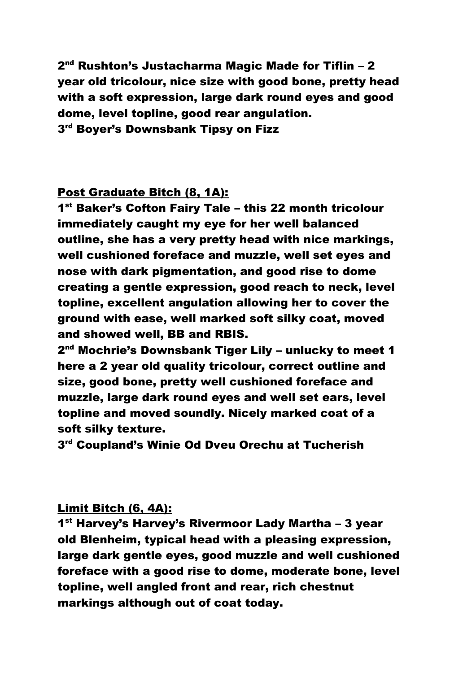2<sup>nd</sup> Rushton's Justacharma Magic Made for Tiflin – 2 year old tricolour, nice size with good bone, pretty head with a soft expression, large dark round eyes and good dome, level topline, good rear angulation. 3<sup>rd</sup> Boyer's Downsbank Tipsy on Fizz

## Post Graduate Bitch (8, 1A):

1<sup>st</sup> Baker's Cofton Fairy Tale - this 22 month tricolour immediately caught my eye for her well balanced outline, she has a very pretty head with nice markings, well cushioned foreface and muzzle, well set eyes and nose with dark pigmentation, and good rise to dome creating a gentle expression, good reach to neck, level topline, excellent angulation allowing her to cover the ground with ease, well marked soft silky coat, moved and showed well, BB and RBIS.

2<sup>nd</sup> Mochrie's Downsbank Tiger Lily – unlucky to meet 1 here a 2 year old quality tricolour, correct outline and size, good bone, pretty well cushioned foreface and muzzle, large dark round eyes and well set ears, level topline and moved soundly. Nicely marked coat of a soft silky texture.

3<sup>rd</sup> Coupland's Winie Od Dveu Orechu at Tucherish

## Limit Bitch (6, 4A):

1<sup>st</sup> Harvey's Harvey's Rivermoor Lady Martha - 3 year old Blenheim, typical head with a pleasing expression, large dark gentle eyes, good muzzle and well cushioned foreface with a good rise to dome, moderate bone, level topline, well angled front and rear, rich chestnut markings although out of coat today.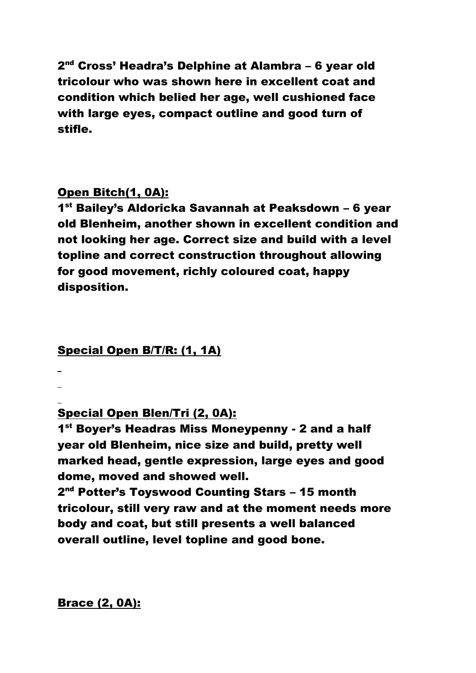2<sup>nd</sup> Cross' Headra's Delphine at Alambra – 6 year old tricolour who was shown here in excellent coat and condition which belied her age, well cushioned face with large eyes, compact outline and good turn of stifle.

## Open Bitch(1, 0A):

1<sup>st</sup> Bailey's Aldoricka Savannah at Peaksdown - 6 year old Blenheim, another shown in excellent condition and not looking her age. Correct size and build with a level topline and correct construction throughout allowing for good movement, richly coloured coat, happy disposition.

## Special Open B/T/R: (1, 1A)

Special Open Blen/Tri (2, 0A):

1<sup>st</sup> Boyer's Headras Miss Moneypenny - 2 and a half year old Blenheim, nice size and build, pretty well marked head, gentle expression, large eyes and good dome, moved and showed well.

2<sup>nd</sup> Potter's Toyswood Counting Stars – 15 month tricolour, still very raw and at the moment needs more body and coat, but still presents a well balanced overall outline, level topline and good bone.

Brace (2, 0A):